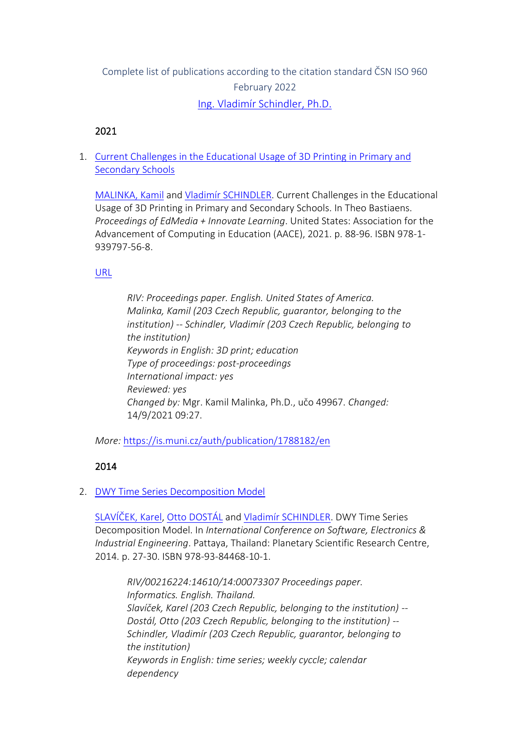# Complete list of publications according to the citation standard ČSN ISO 960 February 2022 [Ing. Vladimír Schindler, Ph.D.](https://www.muni.cz/en/people/160298-vladimir-schindler)

#### 2021

1. [Current Challenges in the Educational Usage of 3D Printing in Primary and](https://is.muni.cz/auth/publication/1788182/en?lang=en)  [Secondary Schools](https://is.muni.cz/auth/publication/1788182/en?lang=en)

[MALINKA, Kamil](https://is.muni.cz/auth/person/49967?lang=en) and [Vladimír SCHINDLER](https://is.muni.cz/auth/person/160298?lang=en). Current Challenges in the Educational Usage of 3D Printing in Primary and Secondary Schools. In Theo Bastiaens. *Proceedings of EdMedia + Innovate Learning*. United States: Association for the Advancement of Computing in Education (AACE), 2021. p. 88-96. ISBN 978-1- 939797-56-8.

#### [URL](https://www.learntechlib.org/primary/p/219643/)

*RIV: Proceedings paper. English. United States of America. Malinka, Kamil (203 Czech Republic, guarantor, belonging to the institution) -- Schindler, Vladimír (203 Czech Republic, belonging to the institution) Keywords in English: 3D print; education Type of proceedings: post-proceedings International impact: yes Reviewed: yes Changed by:* Mgr. Kamil Malinka, Ph.D., učo 49967. *Changed:* 14/9/2021 09:27.

*More:* [https://is.muni.cz/auth/publication/1788182/en](https://is.muni.cz/auth/publication/1788182/en/Current-Challenges-in-the-Educational-Usage-of-3D-Printing-in-Primary-and-Secondary-Schools/Malinka-Schindler?lang=en)

# 2014

#### 2. [DWY Time Series Decomposition Model](https://is.muni.cz/auth/publication/1217033/en?lang=en)

[SLAVÍČEK, Karel](https://is.muni.cz/auth/person/1158?lang=en), [Otto DOSTÁL](https://is.muni.cz/auth/person/2535?lang=en) and [Vladimír SCHINDLER](https://is.muni.cz/auth/person/160298?lang=en). DWY Time Series Decomposition Model. In *International Conference on Software, Electronics & Industrial Engineering*. Pattaya, Thailand: Planetary Scientific Research Centre, 2014. p. 27-30. ISBN 978-93-84468-10-1.

*RIV/00216224:14610/14:00073307 Proceedings paper. Informatics. English. Thailand. Slavíček, Karel (203 Czech Republic, belonging to the institution) -- Dostál, Otto (203 Czech Republic, belonging to the institution) -- Schindler, Vladimír (203 Czech Republic, guarantor, belonging to the institution) Keywords in English: time series; weekly cyccle; calendar dependency*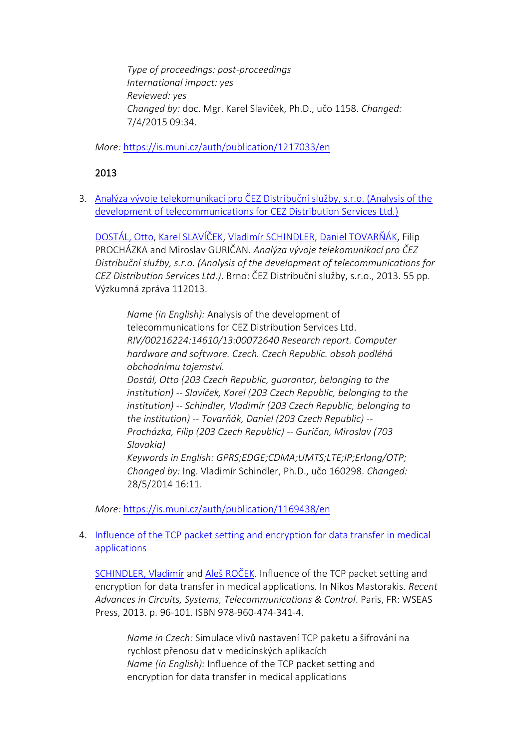*Type of proceedings: post-proceedings International impact: yes Reviewed: yes Changed by:* doc. Mgr. Karel Slavíček, Ph.D., učo 1158. *Changed:* 7/4/2015 09:34.

*More:* [https://is.muni.cz/auth/publication/1217033/en](https://is.muni.cz/auth/publication/1217033/en/DWY-Time-Series-Decomposition-Model/Slavicek-Dostal-Schindler?lang=en)

# 2013

3. [Analýza vývoje telekomunikací pro ČEZ Distribuční služby, s.r.o. \(Analysis of the](https://is.muni.cz/auth/publication/1169438/en?lang=en)  [development of telecommunications for CEZ Distribution Services Ltd.\)](https://is.muni.cz/auth/publication/1169438/en?lang=en)

[DOSTÁL, Otto](https://is.muni.cz/auth/person/2535?lang=en), [Karel SLAVÍČEK](https://is.muni.cz/auth/person/1158?lang=en), [Vladimír SCHINDLER](https://is.muni.cz/auth/person/160298?lang=en), [Daniel TOVARŇÁK](https://is.muni.cz/auth/person/172673?lang=en), Filip PROCHÁZKA and Miroslav GURIČAN. *Analýza vývoje telekomunikací pro ČEZ Distribuční služby, s.r.o. (Analysis of the development of telecommunications for CEZ Distribution Services Ltd.)*. Brno: ČEZ Distribuční služby, s.r.o., 2013. 55 pp. Výzkumná zpráva 112013.

*Name (in English):* Analysis of the development of telecommunications for CEZ Distribution Services Ltd. *RIV/00216224:14610/13:00072640 Research report. Computer hardware and software. Czech. Czech Republic. obsah podléhá obchodnímu tajemství. Dostál, Otto (203 Czech Republic, guarantor, belonging to the institution) -- Slavíček, Karel (203 Czech Republic, belonging to the institution) -- Schindler, Vladimír (203 Czech Republic, belonging to the institution) -- Tovarňák, Daniel (203 Czech Republic) -- Procházka, Filip (203 Czech Republic) -- Guričan, Miroslav (703 Slovakia) Keywords in English: GPRS;EDGE;CDMA;UMTS;LTE;IP;Erlang/OTP; Changed by:* Ing. Vladimír Schindler, Ph.D., učo 160298. *Changed:* 28/5/2014 16:11.

*More:* [https://is.muni.cz/auth/publication/1169438/en](https://is.muni.cz/auth/publication/1169438/en/Analyza-vyvoje-telekomunikaci-pro-CEZ-Distribucni-sluzby-sro/Dostal-Slavicek-Schindler-Tovarnak?lang=en)

#### 4. [Influence of the TCP packet setting and encryption for data transfer in medical](https://is.muni.cz/auth/publication/1163344/en?lang=en)  [applications](https://is.muni.cz/auth/publication/1163344/en?lang=en)

[SCHINDLER, Vladimír](https://is.muni.cz/auth/person/160298?lang=en) and [Aleš ROČEK](https://is.muni.cz/auth/person/205054?lang=en). Influence of the TCP packet setting and encryption for data transfer in medical applications. In Nikos Mastorakis. *Recent Advances in Circuits, Systems, Telecommunications & Control*. Paris, FR: WSEAS Press, 2013. p. 96-101. ISBN 978-960-474-341-4.

*Name in Czech:* Simulace vlivů nastavení TCP paketu a šifrování na rychlost přenosu dat v medicínských aplikacích *Name (in English):* Influence of the TCP packet setting and encryption for data transfer in medical applications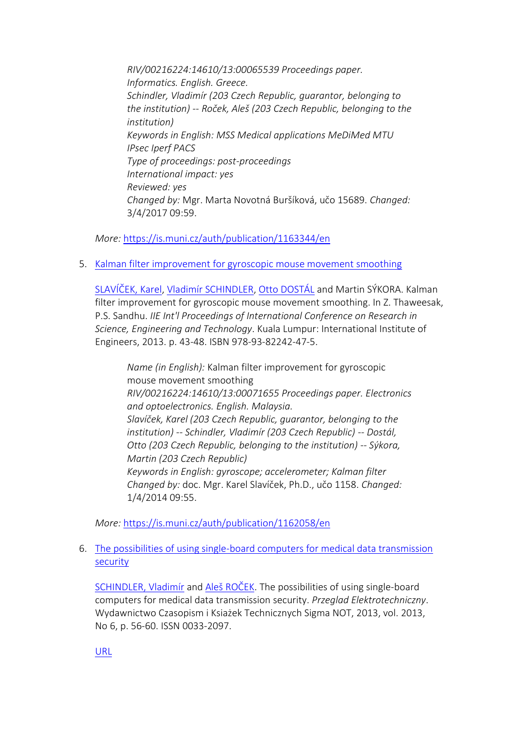*RIV/00216224:14610/13:00065539 Proceedings paper. Informatics. English. Greece. Schindler, Vladimír (203 Czech Republic, guarantor, belonging to the institution) -- Roček, Aleš (203 Czech Republic, belonging to the institution) Keywords in English: MSS Medical applications MeDiMed MTU IPsec Iperf PACS Type of proceedings: post-proceedings International impact: yes Reviewed: yes Changed by:* Mgr. Marta Novotná Buršíková, učo 15689. *Changed:* 3/4/2017 09:59.

*More:* [https://is.muni.cz/auth/publication/1163344/en](https://is.muni.cz/auth/publication/1163344/en/Influence-of-the-TCP-packet-setting-and-encryption-for-data-transfer-in-medical-applications/Schindler-Rocek?lang=en)

5. [Kalman filter improvement for gyroscopic mouse movement smoothing](https://is.muni.cz/auth/publication/1162058/en?lang=en)

[SLAVÍČEK, Karel](https://is.muni.cz/auth/person/1158?lang=en), [Vladimír SCHINDLER](https://is.muni.cz/auth/person/160298?lang=en), [Otto DOSTÁL](https://is.muni.cz/auth/person/2535?lang=en) and Martin SÝKORA. Kalman filter improvement for gyroscopic mouse movement smoothing. In Z. Thaweesak, P.S. Sandhu. *IIE Int'l Proceedings of International Conference on Research in Science, Engineering and Technology*. Kuala Lumpur: International Institute of Engineers, 2013. p. 43-48. ISBN 978-93-82242-47-5.

*Name (in English):* Kalman filter improvement for gyroscopic mouse movement smoothing *RIV/00216224:14610/13:00071655 Proceedings paper. Electronics and optoelectronics. English. Malaysia. Slavíček, Karel (203 Czech Republic, guarantor, belonging to the institution) -- Schindler, Vladimír (203 Czech Republic) -- Dostál, Otto (203 Czech Republic, belonging to the institution) -- Sýkora, Martin (203 Czech Republic) Keywords in English: gyroscope; accelerometer; Kalman filter Changed by:* doc. Mgr. Karel Slavíček, Ph.D., učo 1158. *Changed:* 1/4/2014 09:55.

*More:* [https://is.muni.cz/auth/publication/1162058/en](https://is.muni.cz/auth/publication/1162058/en/Kalman-filter-improvement-for-gyroscopic-mouse-movement-smoothing/Slavicek-Schindler-Dostal-Sykora?lang=en)

#### 6. [The possibilities of using single-board computers for medical data transmission](https://is.muni.cz/auth/publication/1163351/en?lang=en)  [security](https://is.muni.cz/auth/publication/1163351/en?lang=en)

[SCHINDLER, Vladimír](https://is.muni.cz/auth/person/160298?lang=en) and [Aleš ROČEK](https://is.muni.cz/auth/person/205054?lang=en). The possibilities of using single-board computers for medical data transmission security. *Przeglad Elektrotechniczny*. Wydawnictwo Czasopism i Ksiażek Technicznych Sigma NOT, 2013, vol. 2013, No 6, p. 56-60. ISSN 0033-2097.

[URL](http://www.red.pe.org.pl/abstract_pl.php?nid=7656)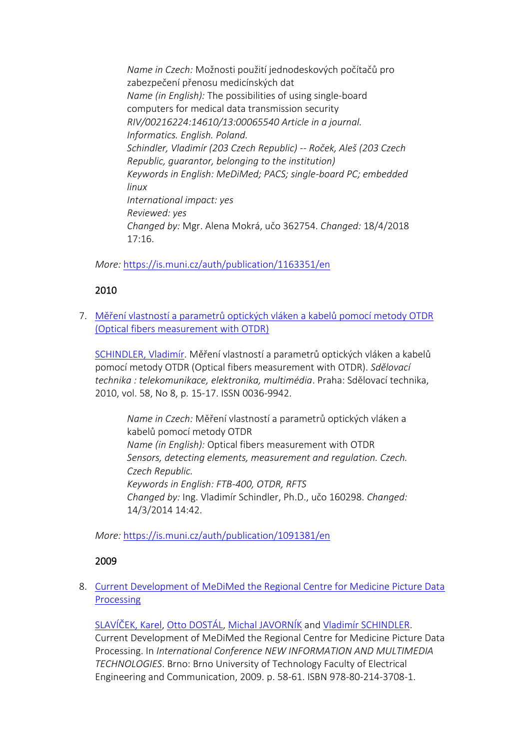*Name in Czech:* Možnosti použití jednodeskových počítačů pro zabezpečení přenosu medicínských dat *Name (in English):* The possibilities of using single-board computers for medical data transmission security *RIV/00216224:14610/13:00065540 Article in a journal. Informatics. English. Poland. Schindler, Vladimír (203 Czech Republic) -- Roček, Aleš (203 Czech Republic, guarantor, belonging to the institution) Keywords in English: MeDiMed; PACS; single-board PC; embedded linux International impact: yes Reviewed: yes Changed by:* Mgr. Alena Mokrá, učo 362754. *Changed:* 18/4/2018 17:16.

*More:* [https://is.muni.cz/auth/publication/1163351/en](https://is.muni.cz/auth/publication/1163351/en/The-possibilities-of-using-single-board-computers-for-medical-data-transmission-security/Schindler-Rocek?lang=en)

# 2010

7. [Měření vlastností a parametrů optických vláken a kabelů pomocí metody OTDR](https://is.muni.cz/auth/publication/1091381/en?lang=en)  [\(Optical fibers measurement with OTDR\)](https://is.muni.cz/auth/publication/1091381/en?lang=en)

[SCHINDLER, Vladimír.](https://is.muni.cz/auth/person/160298?lang=en) Měření vlastností a parametrů optických vláken a kabelů pomocí metody OTDR (Optical fibers measurement with OTDR). *Sdělovací technika : telekomunikace, elektronika, multimédia*. Praha: Sdělovací technika, 2010, vol. 58, No 8, p. 15-17. ISSN 0036-9942.

*Name in Czech:* Měření vlastností a parametrů optických vláken a kabelů pomocí metody OTDR *Name (in English):* Optical fibers measurement with OTDR *Sensors, detecting elements, measurement and regulation. Czech. Czech Republic. Keywords in English: FTB-400, OTDR, RFTS Changed by:* Ing. Vladimír Schindler, Ph.D., učo 160298. *Changed:* 14/3/2014 14:42.

*More:* [https://is.muni.cz/auth/publication/1091381/en](https://is.muni.cz/auth/publication/1091381/en/Mereni-vlastnosti-a-parametru-optickych-vlaken-a-kabelu-pomoci-metody-OTDR/Schindler?lang=en)

# 2009

# 8. [Current Development of MeDiMed the Regional Centre for Medicine Picture Data](https://is.muni.cz/auth/publication/914632/en?lang=en)  [Processing](https://is.muni.cz/auth/publication/914632/en?lang=en)

[SLAVÍČEK, Karel](https://is.muni.cz/auth/person/1158?lang=en), [Otto DOSTÁL](https://is.muni.cz/auth/person/2535?lang=en), [Michal JAVORNÍK](https://is.muni.cz/auth/person/1111?lang=en) and [Vladimír SCHINDLER](https://is.muni.cz/auth/person/160298?lang=en). Current Development of MeDiMed the Regional Centre for Medicine Picture Data Processing. In *International Conference NEW INFORMATION AND MULTIMEDIA TECHNOLOGIES*. Brno: Brno University of Technology Faculty of Electrical Engineering and Communication, 2009. p. 58-61. ISBN 978-80-214-3708-1.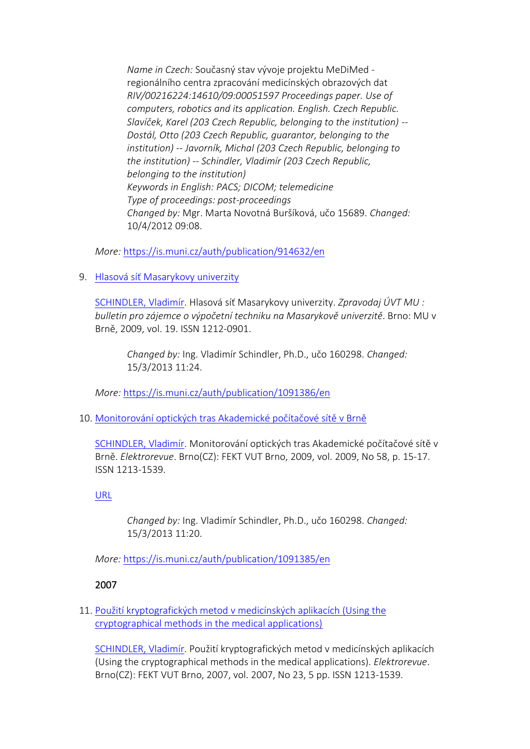*Name in Czech:* Současný stav vývoje projektu MeDiMed regionálního centra zpracování medicínských obrazových dat *RIV/00216224:14610/09:00051597 Proceedings paper. Use of computers, robotics and its application. English. Czech Republic. Slavíček, Karel (203 Czech Republic, belonging to the institution) -- Dostál, Otto (203 Czech Republic, guarantor, belonging to the institution) -- Javorník, Michal (203 Czech Republic, belonging to the institution) -- Schindler, Vladimír (203 Czech Republic, belonging to the institution) Keywords in English: PACS; DICOM; telemedicine Type of proceedings: post-proceedings Changed by:* Mgr. Marta Novotná Buršíková, učo 15689. *Changed:* 10/4/2012 09:08.

*More:* [https://is.muni.cz/auth/publication/914632/en](https://is.muni.cz/auth/publication/914632/en/Current-Development-of-MeDiMed-the-Regional-Centre-for-Medicine-Picture-Data-Processing/Slavicek-Dostal-Javornik-Schindler?lang=en)

9. [Hlasová síť Masarykovy univerzity](https://is.muni.cz/auth/publication/1091386/en?lang=en)

[SCHINDLER, Vladimír.](https://is.muni.cz/auth/person/160298?lang=en) Hlasová síť Masarykovy univerzity. *Zpravodaj ÚVT MU : bulletin pro zájemce o výpočetní techniku na Masarykově univerzitě*. Brno: MU v Brně, 2009, vol. 19. ISSN 1212-0901.

*Changed by:* Ing. Vladimír Schindler, Ph.D., učo 160298. *Changed:* 15/3/2013 11:24.

*More:* [https://is.muni.cz/auth/publication/1091386/en](https://is.muni.cz/auth/publication/1091386/en/Hlasova-sit-Masarykovy-univerzity/Schindler?lang=en)

10. [Monitorování optických tras Akademické počítačové sítě v Brně](https://is.muni.cz/auth/publication/1091385/en?lang=en)

[SCHINDLER, Vladimír.](https://is.muni.cz/auth/person/160298?lang=en) Monitorování optických tras Akademické počítačové sítě v Brně. *Elektrorevue*. Brno(CZ): FEKT VUT Brno, 2009, vol. 2009, No 58, p. 15-17. ISSN 1213-1539.

[URL](http://www.elektrorevue.cz/cz/clanky/komunikacni-technologie/0/monitorovani-optickych-tras-akademicke-pocitacove-site-v-brne/)

*Changed by:* Ing. Vladimír Schindler, Ph.D., učo 160298. *Changed:* 15/3/2013 11:20.

*More:* [https://is.muni.cz/auth/publication/1091385/en](https://is.muni.cz/auth/publication/1091385/en/Monitorovani-optickych-tras-Akademicke-pocitacove-site-v-Brne/Schindler?lang=en)

# 2007

11. [Použití kryptografických metod v medicínských aplikacích \(Using the](https://is.muni.cz/auth/publication/1091382/en?lang=en)  [cryptographical methods in the medical applications\)](https://is.muni.cz/auth/publication/1091382/en?lang=en)

[SCHINDLER, Vladimír.](https://is.muni.cz/auth/person/160298?lang=en) Použití kryptografických metod v medicínských aplikacích (Using the cryptographical methods in the medical applications). *Elektrorevue*. Brno(CZ): FEKT VUT Brno, 2007, vol. 2007, No 23, 5 pp. ISSN 1213-1539.